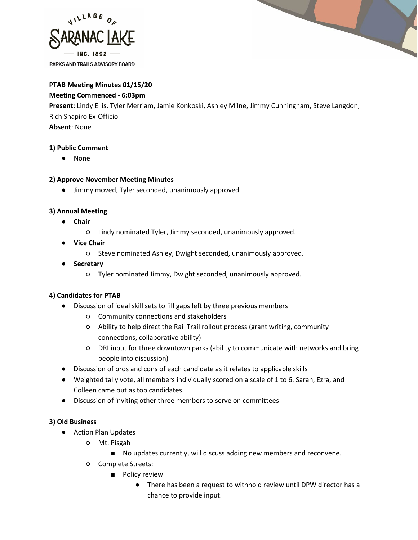

PARKS AND TRAILS ADVISORY BOARD



# **PTAB Meeting Minutes 01/15/20**

### **Meeting Commenced - 6:03pm**

**Present:** Lindy Ellis, Tyler Merriam, Jamie Konkoski, Ashley Milne, Jimmy Cunningham, Steve Langdon, Rich Shapiro Ex-Officio

**Absent**: None

## **1) Public Comment**

● None

### **2) Approve November Meeting Minutes**

● Jimmy moved, Tyler seconded, unanimously approved

### **3) Annual Meeting**

- **Chair**
	- Lindy nominated Tyler, Jimmy seconded, unanimously approved.
- **Vice Chair**
	- Steve nominated Ashley, Dwight seconded, unanimously approved.
- **Secretary**
	- Tyler nominated Jimmy, Dwight seconded, unanimously approved.

#### **4) Candidates for PTAB**

- Discussion of ideal skill sets to fill gaps left by three previous members
	- Community connections and stakeholders
	- Ability to help direct the Rail Trail rollout process (grant writing, community connections, collaborative ability)
	- DRI input for three downtown parks (ability to communicate with networks and bring people into discussion)
- Discussion of pros and cons of each candidate as it relates to applicable skills
- Weighted tally vote, all members individually scored on a scale of 1 to 6. Sarah, Ezra, and Colleen came out as top candidates.
- Discussion of inviting other three members to serve on committees

#### **3) Old Business**

- Action Plan Updates
	- Mt. Pisgah
		- No updates currently, will discuss adding new members and reconvene.
	- Complete Streets:
		- Policy review
			- There has been a request to withhold review until DPW director has a chance to provide input.